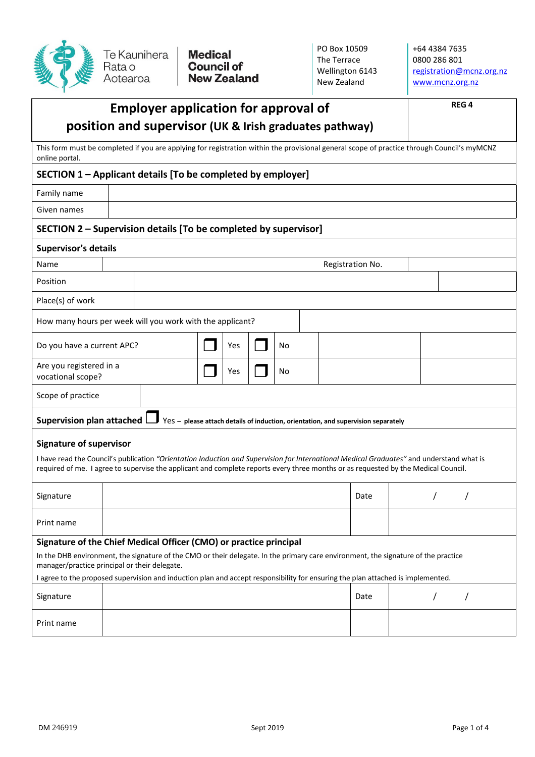

**Medical** nteched:<br>Council of<br>New Zealand PO Box 10509 The Terrace Wellington 6143 New Zealand

+64 4384 7635 0800 286 801 [registration@mcnz.org.nz](mailto:registration@mcnz.org.nz) [www.mcnz.org.nz](http://www.mcnz.org.nz/)

| <b>Employer application for approval of</b><br>position and supervisor (UK & Irish graduates pathway)                                                                                                                                                                          |  |                  |  |     |  |    |  |  |      |  | <b>REG4</b> |            |          |  |
|--------------------------------------------------------------------------------------------------------------------------------------------------------------------------------------------------------------------------------------------------------------------------------|--|------------------|--|-----|--|----|--|--|------|--|-------------|------------|----------|--|
| This form must be completed if you are applying for registration within the provisional general scope of practice through Council's myMCNZ<br>online portal.                                                                                                                   |  |                  |  |     |  |    |  |  |      |  |             |            |          |  |
| SECTION 1 – Applicant details [To be completed by employer]                                                                                                                                                                                                                    |  |                  |  |     |  |    |  |  |      |  |             |            |          |  |
| Family name                                                                                                                                                                                                                                                                    |  |                  |  |     |  |    |  |  |      |  |             |            |          |  |
| Given names                                                                                                                                                                                                                                                                    |  |                  |  |     |  |    |  |  |      |  |             |            |          |  |
| SECTION 2 – Supervision details [To be completed by supervisor]                                                                                                                                                                                                                |  |                  |  |     |  |    |  |  |      |  |             |            |          |  |
| <b>Supervisor's details</b>                                                                                                                                                                                                                                                    |  |                  |  |     |  |    |  |  |      |  |             |            |          |  |
| Name                                                                                                                                                                                                                                                                           |  | Registration No. |  |     |  |    |  |  |      |  |             |            |          |  |
| Position                                                                                                                                                                                                                                                                       |  |                  |  |     |  |    |  |  |      |  |             |            |          |  |
| Place(s) of work                                                                                                                                                                                                                                                               |  |                  |  |     |  |    |  |  |      |  |             |            |          |  |
| How many hours per week will you work with the applicant?                                                                                                                                                                                                                      |  |                  |  |     |  |    |  |  |      |  |             |            |          |  |
| Do you have a current APC?                                                                                                                                                                                                                                                     |  |                  |  | Yes |  | No |  |  |      |  |             |            |          |  |
| Are you registered in a<br>vocational scope?                                                                                                                                                                                                                                   |  |                  |  | Yes |  | No |  |  |      |  |             |            |          |  |
| Scope of practice                                                                                                                                                                                                                                                              |  |                  |  |     |  |    |  |  |      |  |             |            |          |  |
| <b>Supervision plan attached</b><br>Yes - please attach details of induction, orientation, and supervision separately                                                                                                                                                          |  |                  |  |     |  |    |  |  |      |  |             |            |          |  |
| <b>Signature of supervisor</b>                                                                                                                                                                                                                                                 |  |                  |  |     |  |    |  |  |      |  |             |            |          |  |
| I have read the Council's publication "Orientation Induction and Supervision for International Medical Graduates" and understand what is<br>required of me. I agree to supervise the applicant and complete reports every three months or as requested by the Medical Council. |  |                  |  |     |  |    |  |  |      |  |             |            |          |  |
| Signature                                                                                                                                                                                                                                                                      |  |                  |  |     |  |    |  |  | Date |  |             | $\sqrt{2}$ | $\prime$ |  |
| Print name                                                                                                                                                                                                                                                                     |  |                  |  |     |  |    |  |  |      |  |             |            |          |  |
| Signature of the Chief Medical Officer (CMO) or practice principal                                                                                                                                                                                                             |  |                  |  |     |  |    |  |  |      |  |             |            |          |  |
| In the DHB environment, the signature of the CMO or their delegate. In the primary care environment, the signature of the practice<br>manager/practice principal or their delegate.                                                                                            |  |                  |  |     |  |    |  |  |      |  |             |            |          |  |
| I agree to the proposed supervision and induction plan and accept responsibility for ensuring the plan attached is implemented.                                                                                                                                                |  |                  |  |     |  |    |  |  |      |  |             |            |          |  |
| Signature                                                                                                                                                                                                                                                                      |  |                  |  |     |  |    |  |  | Date |  |             |            |          |  |
| Print name                                                                                                                                                                                                                                                                     |  |                  |  |     |  |    |  |  |      |  |             |            |          |  |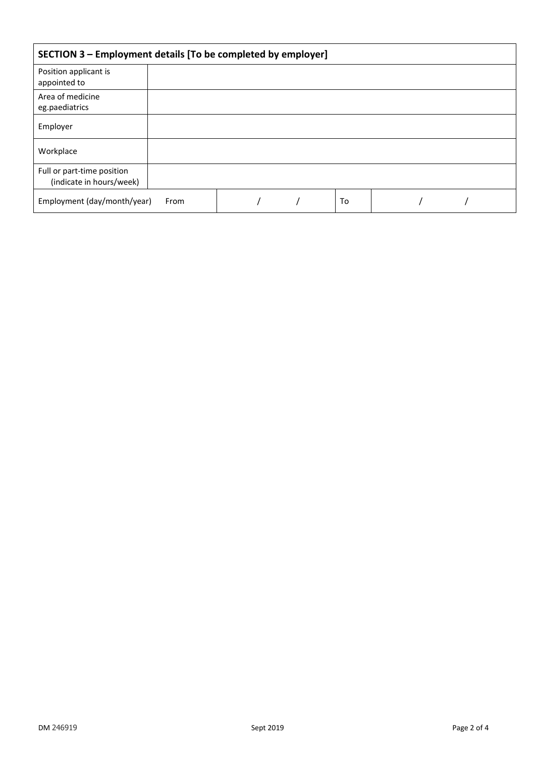| SECTION 3 - Employment details [To be completed by employer] |  |  |  |    |  |  |  |  |
|--------------------------------------------------------------|--|--|--|----|--|--|--|--|
| Position applicant is<br>appointed to                        |  |  |  |    |  |  |  |  |
| Area of medicine<br>eg.paediatrics                           |  |  |  |    |  |  |  |  |
| Employer                                                     |  |  |  |    |  |  |  |  |
| Workplace                                                    |  |  |  |    |  |  |  |  |
| Full or part-time position<br>(indicate in hours/week)       |  |  |  |    |  |  |  |  |
| Employment (day/month/year)                                  |  |  |  | To |  |  |  |  |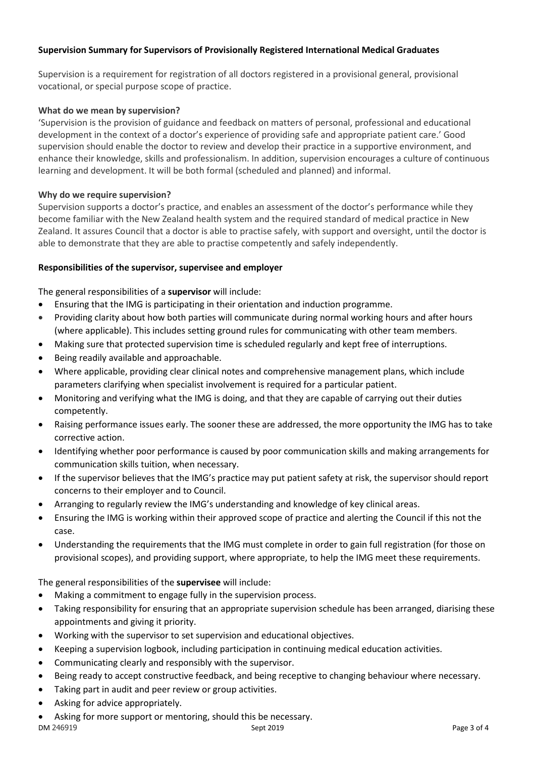# **Supervision Summary for Supervisors of Provisionally Registered International Medical Graduates**

Supervision is a requirement for registration of all doctors registered in a provisional general, provisional vocational, or special purpose scope of practice.

# **What do we mean by supervision?**

'Supervision is the provision of guidance and feedback on matters of personal, professional and educational development in the context of a doctor's experience of providing safe and appropriate patient care.' Good supervision should enable the doctor to review and develop their practice in a supportive environment, and enhance their knowledge, skills and professionalism. In addition, supervision encourages a culture of continuous learning and development. It will be both formal (scheduled and planned) and informal.

# **Why do we require supervision?**

Supervision supports a doctor's practice, and enables an assessment of the doctor's performance while they become familiar with the New Zealand health system and the required standard of medical practice in New Zealand. It assures Council that a doctor is able to practise safely, with support and oversight, until the doctor is able to demonstrate that they are able to practise competently and safely independently.

# **Responsibilities of the supervisor, supervisee and employer**

The general responsibilities of a **supervisor** will include:

- Ensuring that the IMG is participating in their orientation and induction programme.
- Providing clarity about how both parties will communicate during normal working hours and after hours (where applicable). This includes setting ground rules for communicating with other team members.
- Making sure that protected supervision time is scheduled regularly and kept free of interruptions.
- Being readily available and approachable.
- Where applicable, providing clear clinical notes and comprehensive management plans, which include parameters clarifying when specialist involvement is required for a particular patient.
- Monitoring and verifying what the IMG is doing, and that they are capable of carrying out their duties competently.
- Raising performance issues early. The sooner these are addressed, the more opportunity the IMG has to take corrective action.
- Identifying whether poor performance is caused by poor communication skills and making arrangements for communication skills tuition, when necessary.
- If the supervisor believes that the IMG's practice may put patient safety at risk, the supervisor should report concerns to their employer and to Council.
- Arranging to regularly review the IMG's understanding and knowledge of key clinical areas.
- Ensuring the IMG is working within their approved scope of practice and alerting the Council if this not the case.
- Understanding the requirements that the IMG must complete in order to gain full registration (for those on provisional scopes), and providing support, where appropriate, to help the IMG meet these requirements.

The general responsibilities of the **supervisee** will include:

- Making a commitment to engage fully in the supervision process.
- Taking responsibility for ensuring that an appropriate supervision schedule has been arranged, diarising these appointments and giving it priority.
- Working with the supervisor to set supervision and educational objectives.
- Keeping a supervision logbook, including participation in continuing medical education activities.
- Communicating clearly and responsibly with the supervisor.
- Being ready to accept constructive feedback, and being receptive to changing behaviour where necessary.
- Taking part in audit and peer review or group activities.
- Asking for advice appropriately.
- Asking for more support or mentoring, should this be necessary.

 $DM\ 246919$  Page 3 of 4